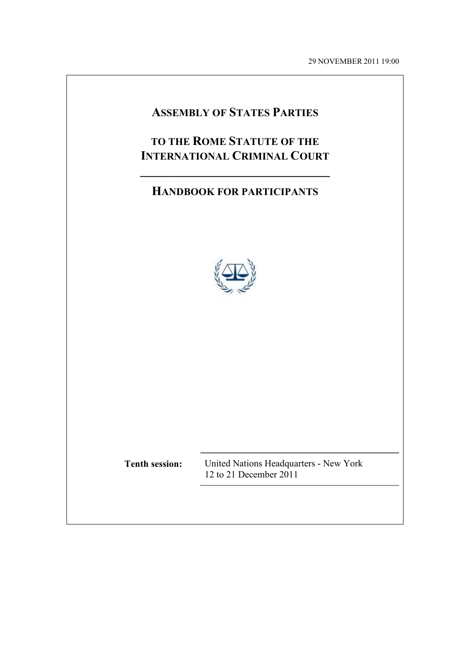29 NOVEMBER 2011 19:00

# **ASSEMBLY OF STATES PARTIES**

# **TO THE ROME STATUTE OF THE INTERNATIONAL CRIMINAL COURT**

# **HANDBOOK FOR PARTICIPANTS**

**\_\_\_\_\_\_\_\_\_\_\_\_\_\_\_\_\_\_\_\_\_\_\_\_\_\_\_\_\_\_** 



**Tenth session:** United Nations Headquarters - New York 12 to 21 December 2011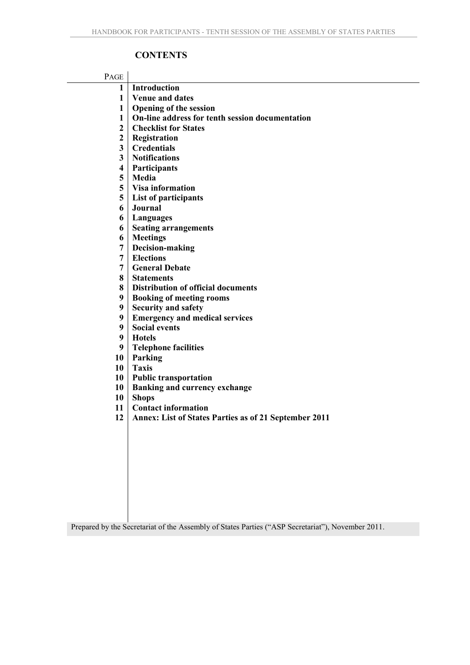# **CONTENTS**

| PAGE                    |                                                              |
|-------------------------|--------------------------------------------------------------|
| 1                       | Introduction                                                 |
| 1                       | <b>Venue and dates</b>                                       |
| 1                       | <b>Opening of the session</b>                                |
| 1                       | On-line address for tenth session documentation              |
| $\overline{2}$          | <b>Checklist for States</b>                                  |
| $\overline{2}$          | Registration                                                 |
| 3                       | <b>Credentials</b>                                           |
| 3                       | <b>Notifications</b>                                         |
| $\overline{\mathbf{4}}$ | Participants                                                 |
| 5                       | Media                                                        |
| 5                       | <b>Visa information</b>                                      |
| 5                       | List of participants                                         |
| 6                       | Journal                                                      |
| 6                       | Languages                                                    |
| 6                       | <b>Seating arrangements</b>                                  |
| 6                       | <b>Meetings</b>                                              |
| 7                       | Decision-making                                              |
| $\overline{7}$          | <b>Elections</b>                                             |
| 7                       | <b>General Debate</b>                                        |
| 8                       | <b>Statements</b>                                            |
| 8                       | <b>Distribution of official documents</b>                    |
| 9                       | <b>Booking of meeting rooms</b>                              |
| 9                       | <b>Security and safety</b>                                   |
| 9                       | <b>Emergency and medical services</b>                        |
| 9                       | <b>Social events</b>                                         |
| 9                       | <b>Hotels</b>                                                |
| 9                       | <b>Telephone facilities</b>                                  |
| 10                      | Parking                                                      |
| 10                      | <b>Taxis</b>                                                 |
| 10                      | <b>Public transportation</b>                                 |
| 10                      | <b>Banking and currency exchange</b>                         |
| 10                      | <b>Shops</b>                                                 |
| 11                      | <b>Contact information</b>                                   |
| 12                      | <b>Annex: List of States Parties as of 21 September 2011</b> |
|                         |                                                              |
|                         |                                                              |
|                         |                                                              |
|                         |                                                              |
|                         |                                                              |
|                         |                                                              |
|                         |                                                              |
|                         |                                                              |
|                         |                                                              |

Prepared by the Secretariat of the Assembly of States Parties ("ASP Secretariat"), November 2011.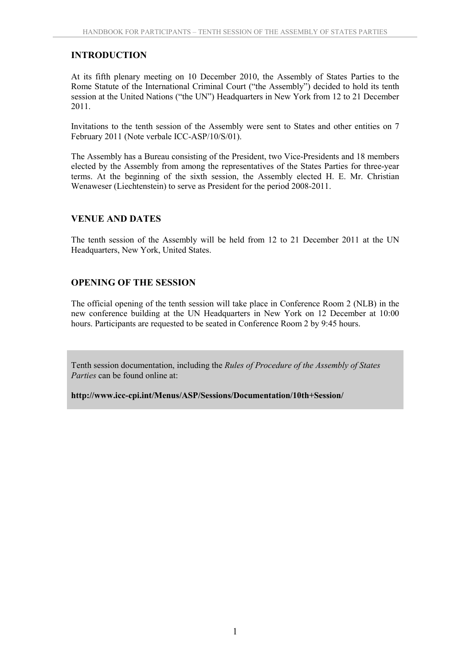#### **INTRODUCTION**

At its fifth plenary meeting on 10 December 2010, the Assembly of States Parties to the Rome Statute of the International Criminal Court ("the Assembly") decided to hold its tenth session at the United Nations ("the UN") Headquarters in New York from 12 to 21 December 2011.

Invitations to the tenth session of the Assembly were sent to States and other entities on 7 February 2011 (Note verbale ICC-ASP/10/S/01).

The Assembly has a Bureau consisting of the President, two Vice-Presidents and 18 members elected by the Assembly from among the representatives of the States Parties for three-year terms. At the beginning of the sixth session, the Assembly elected H. E. Mr. Christian Wenaweser (Liechtenstein) to serve as President for the period 2008-2011.

#### **VENUE AND DATES**

The tenth session of the Assembly will be held from 12 to 21 December 2011 at the UN Headquarters, New York, United States.

#### **OPENING OF THE SESSION**

The official opening of the tenth session will take place in Conference Room 2 (NLB) in the new conference building at the UN Headquarters in New York on 12 December at 10:00 hours. Participants are requested to be seated in Conference Room 2 by 9:45 hours.

Tenth session documentation, including the *Rules of Procedure of the Assembly of States Parties* can be found online at:

**<http://www.icc-cpi.int/Menus/ASP/Sessions/Documentation/10th+Session/>**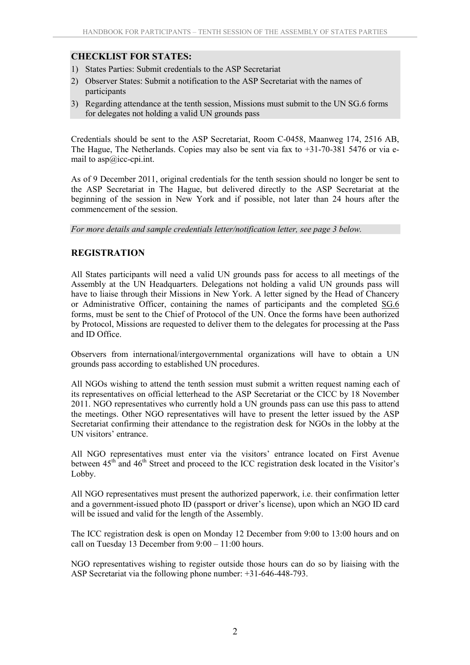#### **CHECKLIST FOR STATES:**

- 1) States Parties: Submit credentials to the ASP Secretariat
- 2) Observer States: Submit a notification to the ASP Secretariat with the names of participants
- 3) Regarding attendance at the tenth session, Missions must submit to the UN SG.6 forms for delegates not holding a valid UN grounds pass

Credentials should be sent to the ASP Secretariat, Room C-0458, Maanweg 174, 2516 AB, The Hague, The Netherlands. Copies may also be sent via fax to  $+31-70-3815-476$  or via email to asp@icc-cpi.int.

As of 9 December 2011, original credentials for the tenth session should no longer be sent to the ASP Secretariat in The Hague, but delivered directly to the ASP Secretariat at the beginning of the session in New York and if possible, not later than 24 hours after the commencement of the session.

*For more details and sample credentials letter/notification letter, see page 3 below.* 

#### **REGISTRATION**

All States participants will need a valid UN grounds pass for access to all meetings of the Assembly at the UN Headquarters. Delegations not holding a valid UN grounds pass will have to liaise through their Missions in New York. A letter signed by the Head of Chancery or Administrative Officer, containing the names of participants and the completed SG.6 forms, must be sent to the Chief of Protocol of the UN. Once the forms have been authorized by Protocol, Missions are requested to deliver them to the delegates for processing at the Pass and ID Office.

Observers from international/intergovernmental organizations will have to obtain a UN grounds pass according to established UN procedures.

All NGOs wishing to attend the tenth session must submit a written request naming each of its representatives on official letterhead to the ASP Secretariat or the CICC by 18 November 2011. NGO representatives who currently hold a UN grounds pass can use this pass to attend the meetings. Other NGO representatives will have to present the letter issued by the ASP Secretariat confirming their attendance to the registration desk for NGOs in the lobby at the UN visitors' entrance.

All NGO representatives must enter via the visitors' entrance located on First Avenue between  $45<sup>th</sup>$  and  $46<sup>th</sup>$  Street and proceed to the ICC registration desk located in the Visitor's Lobby.

All NGO representatives must present the authorized paperwork, i.e. their confirmation letter and a government-issued photo ID (passport or driver's license), upon which an NGO ID card will be issued and valid for the length of the Assembly.

The ICC registration desk is open on Monday 12 December from 9:00 to 13:00 hours and on call on Tuesday 13 December from 9:00 – 11:00 hours.

NGO representatives wishing to register outside those hours can do so by liaising with the ASP Secretariat via the following phone number: +31-646-448-793.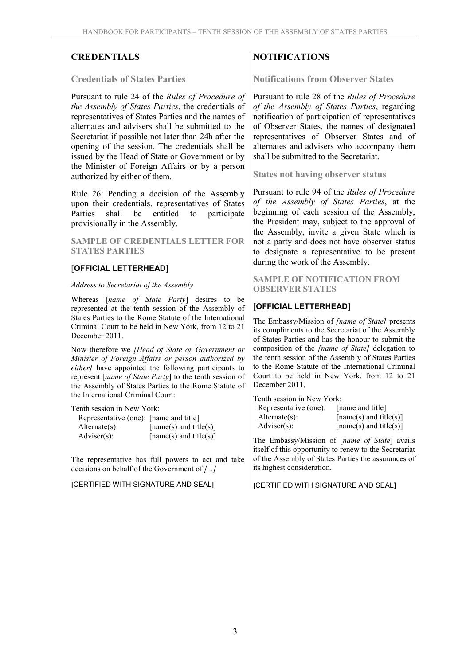#### **Credentials of States Parties**

Pursuant to rule 24 of the *Rules of Procedure of the Assembly of States Parties*, the credentials of representatives of States Parties and the names of alternates and advisers shall be submitted to the Secretariat if possible not later than 24h after the opening of the session. The credentials shall be issued by the Head of State or Government or by the Minister of Foreign Affairs or by a person authorized by either of them.

Rule 26: Pending a decision of the Assembly upon their credentials, representatives of States Parties shall be entitled to participate provisionally in the Assembly.

#### **SAMPLE OF CREDENTIALS LETTER FOR STATES PARTIES**

#### [**OFFICIAL LETTERHEAD**]

#### *Address to Secretariat of the Assembly*

Whereas [*name of State Party*] desires to be represented at the tenth session of the Assembly of States Parties to the Rome Statute of the International Criminal Court to be held in New York, from 12 to 21 December 2011.

Now therefore we *[Head of State or Government or Minister of Foreign Affairs or person authorized by either]* have appointed the following participants to represent [*name of State Party*] to the tenth session of the Assembly of States Parties to the Rome Statute of the International Criminal Court:

Tenth session in New York:

| Representative (one): [name and title] |                          |
|----------------------------------------|--------------------------|
| $Alternate(s)$ :                       | $[name(s)$ and title(s)] |
| $Adviser(s)$ :                         | [name(s) and title(s)]   |

The representative has full powers to act and take decisions on behalf of the Government of *[...]* 

**[**CERTIFIED WITH SIGNATURE AND SEAL**]**

# **CREDENTIALS** NOTIFICATIONS

**Notifications from Observer States** 

Pursuant to rule 28 of the *Rules of Procedure of the Assembly of States Parties*, regarding notification of participation of representatives of Observer States, the names of designated representatives of Observer States and of alternates and advisers who accompany them shall be submitted to the Secretariat.

**States not having observer status** 

Pursuant to rule 94 of the *Rules of Procedure of the Assembly of States Parties*, at the beginning of each session of the Assembly, the President may, subject to the approval of the Assembly, invite a given State which is not a party and does not have observer status to designate a representative to be present during the work of the Assembly.

**SAMPLE OF NOTIFICATION FROM OBSERVER STATES** 

#### [**OFFICIAL LETTERHEAD**]

The Embassy/Mission of *[name of State]* presents its compliments to the Secretariat of the Assembly of States Parties and has the honour to submit the composition of the *[name of State]* delegation to the tenth session of the Assembly of States Parties to the Rome Statute of the International Criminal Court to be held in New York, from 12 to 21 December 2011,

| Tenth session in New York: |                          |  |  |  |
|----------------------------|--------------------------|--|--|--|
| Representative (one):      | [name and title]         |  |  |  |
| $Alternate(s)$ :           | $[name(s)$ and title(s)] |  |  |  |
| $Adviser(s)$ :             | [name(s) and title(s)]   |  |  |  |

The Embassy/Mission of [*name of State*] avails itself of this opportunity to renew to the Secretariat of the Assembly of States Parties the assurances of its highest consideration.

**[**CERTIFIED WITH SIGNATURE AND SEAL**]**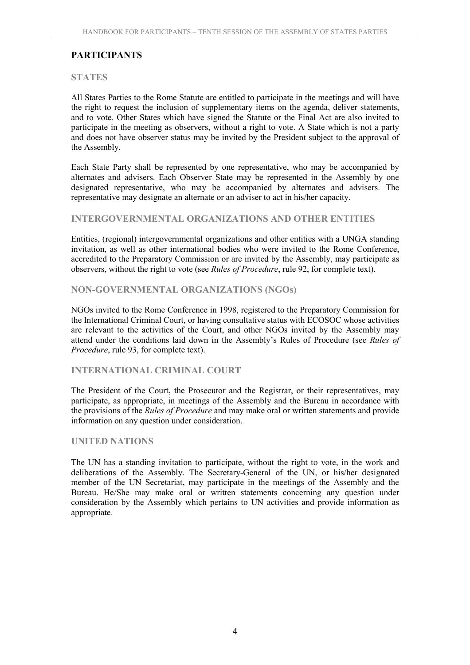# **PARTICIPANTS**

#### **STATES**

All States Parties to the Rome Statute are entitled to participate in the meetings and will have the right to request the inclusion of supplementary items on the agenda, deliver statements, and to vote. Other States which have signed the Statute or the Final Act are also invited to participate in the meeting as observers, without a right to vote. A State which is not a party and does not have observer status may be invited by the President subject to the approval of the Assembly.

Each State Party shall be represented by one representative, who may be accompanied by alternates and advisers. Each Observer State may be represented in the Assembly by one designated representative, who may be accompanied by alternates and advisers. The representative may designate an alternate or an adviser to act in his/her capacity.

#### **INTERGOVERNMENTAL ORGANIZATIONS AND OTHER ENTITIES**

Entities, (regional) intergovernmental organizations and other entities with a UNGA standing invitation, as well as other international bodies who were invited to the Rome Conference, accredited to the Preparatory Commission or are invited by the Assembly, may participate as observers, without the right to vote (see *Rules of Procedure*, rule 92, for complete text).

#### **NON-GOVERNMENTAL ORGANIZATIONS (NGOs)**

NGOs invited to the Rome Conference in 1998, registered to the Preparatory Commission for the International Criminal Court, or having consultative status with ECOSOC whose activities are relevant to the activities of the Court, and other NGOs invited by the Assembly may attend under the conditions laid down in the Assembly's Rules of Procedure (see *Rules of Procedure*, rule 93, for complete text).

#### **INTERNATIONAL CRIMINAL COURT**

The President of the Court, the Prosecutor and the Registrar, or their representatives, may participate, as appropriate, in meetings of the Assembly and the Bureau in accordance with the provisions of the *Rules of Procedure* and may make oral or written statements and provide information on any question under consideration.

#### **UNITED NATIONS**

The UN has a standing invitation to participate, without the right to vote, in the work and deliberations of the Assembly. The Secretary-General of the UN, or his/her designated member of the UN Secretariat, may participate in the meetings of the Assembly and the Bureau. He/She may make oral or written statements concerning any question under consideration by the Assembly which pertains to UN activities and provide information as appropriate.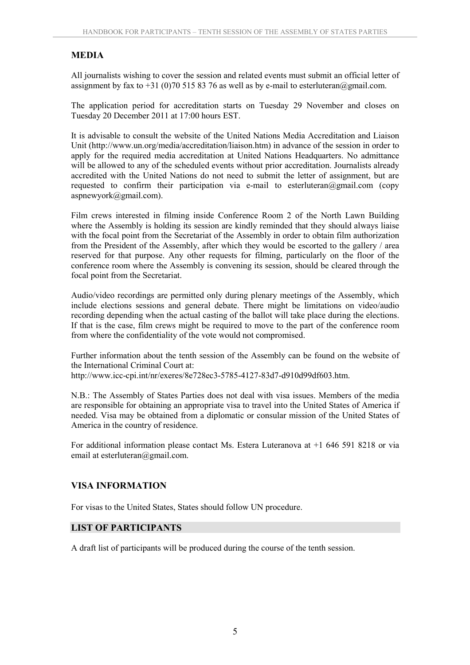# **MEDIA**

All journalists wishing to cover the session and related events must submit an official letter of assignment by fax to +31 (0)70 515 83 76 as well as by e-mail to esterluteran@gmail.com.

The application period for accreditation starts on Tuesday 29 November and closes on Tuesday 20 December 2011 at 17:00 hours EST.

It is advisable to consult the website of the United Nations Media Accreditation and Liaison Unit (http://www.un.org/media/accreditation/liaison.htm) in advance of the session in order to apply for the required media accreditation at United Nations Headquarters. No admittance will be allowed to any of the scheduled events without prior accreditation. Journalists already accredited with the United Nations do not need to submit the letter of assignment, but are requested to confirm their participation via e-mail to esterluteran@gmail.com (copy) [aspnewyork@gmail.com\).](mailto:aspnewyork@gmail.com) 

Film crews interested in filming inside Conference Room 2 of the North Lawn Building where the Assembly is holding its session are kindly reminded that they should always liaise with the focal point from the Secretariat of the Assembly in order to obtain film authorization from the President of the Assembly, after which they would be escorted to the gallery / area reserved for that purpose. Any other requests for filming, particularly on the floor of the conference room where the Assembly is convening its session, should be cleared through the focal point from the Secretariat.

Audio/video recordings are permitted only during plenary meetings of the Assembly, which include elections sessions and general debate. There might be limitations on video/audio recording depending when the actual casting of the ballot will take place during the elections. If that is the case, film crews might be required to move to the part of the conference room from where the confidentiality of the vote would not compromised.

Further information about the tenth session of the Assembly can be found on the website of the International Criminal Court at: http://www.icc-cpi.int/nr/exeres/8e728ec3-5785-4127-83d7-d910d99df603.htm.

N.B.: The Assembly of States Parties does not deal with visa issues. Members of the media are responsible for obtaining an appropriate visa to travel into the United States of America if needed. Visa may be obtained from a diplomatic or consular mission of the United States of America in the country of residence.

For additional information please contact Ms. Estera Luteranova at +1 646 591 8218 or via email at esterluteran@gmail.com.

## **VISA INFORMATION**

For visas to the United States, States should follow UN procedure.

## **LIST OF PARTICIPANTS**

A draft list of participants will be produced during the course of the tenth session.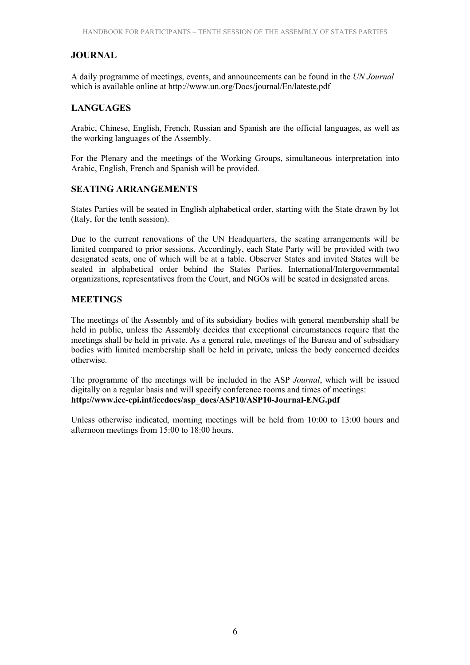# **JOURNAL**

A daily programme of meetings, events, and announcements can be found in the *UN Journal* which is available online at <http://www.un.org/Docs/journal/En/lateste.pdf>

## **LANGUAGES**

Arabic, Chinese, English, French, Russian and Spanish are the official languages, as well as the working languages of the Assembly.

For the Plenary and the meetings of the Working Groups, simultaneous interpretation into Arabic, English, French and Spanish will be provided.

#### **SEATING ARRANGEMENTS**

States Parties will be seated in English alphabetical order, starting with the State drawn by lot (Italy, for the tenth session).

Due to the current renovations of the UN Headquarters, the seating arrangements will be limited compared to prior sessions. Accordingly, each State Party will be provided with two designated seats, one of which will be at a table. Observer States and invited States will be seated in alphabetical order behind the States Parties. International/Intergovernmental organizations, representatives from the Court, and NGOs will be seated in designated areas.

#### **MEETINGS**

The meetings of the Assembly and of its subsidiary bodies with general membership shall be held in public, unless the Assembly decides that exceptional circumstances require that the meetings shall be held in private. As a general rule, meetings of the Bureau and of subsidiary bodies with limited membership shall be held in private, unless the body concerned decides otherwise.

The programme of the meetings will be included in the ASP *Journal*, which will be issued digitally on a regular basis and will specify conference rooms and times of meetings: **[http://www.icc-cpi.int/iccdocs/asp\\_docs/ASP10/ASP10-Journal-ENG.pdf](http://www.icc-cpi.int/iccdocs/asp_docs/ASP10/ASP10-Journal-ENG.pdf)** 

Unless otherwise indicated, morning meetings will be held from 10:00 to 13:00 hours and afternoon meetings from 15:00 to 18:00 hours.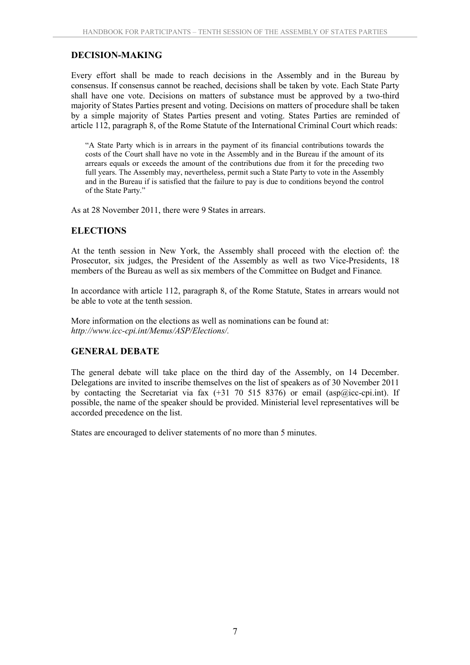# **DECISION-MAKING**

Every effort shall be made to reach decisions in the Assembly and in the Bureau by consensus. If consensus cannot be reached, decisions shall be taken by vote. Each State Party shall have one vote. Decisions on matters of substance must be approved by a two-third majority of States Parties present and voting. Decisions on matters of procedure shall be taken by a simple majority of States Parties present and voting. States Parties are reminded of article 112, paragraph 8, of the Rome Statute of the International Criminal Court which reads:

"A State Party which is in arrears in the payment of its financial contributions towards the costs of the Court shall have no vote in the Assembly and in the Bureau if the amount of its arrears equals or exceeds the amount of the contributions due from it for the preceding two full years. The Assembly may, nevertheless, permit such a State Party to vote in the Assembly and in the Bureau if is satisfied that the failure to pay is due to conditions beyond the control of the State Party."

As at 28 November 2011, there were 9 States in arrears.

#### **ELECTIONS**

At the tenth session in New York, the Assembly shall proceed with the election of: the Prosecutor, six judges, the President of the Assembly as well as two Vice-Presidents, 18 members of the Bureau as well as six members of the Committee on Budget and Finance*.*

In accordance with article 112, paragraph 8, of the Rome Statute, States in arrears would not be able to vote at the tenth session.

More information on the elections as well as nominations can be found at: *[http://www.icc-cpi.int/Menus/ASP/Elections/.](http://www.icc-cpi.int/Menus/ASP/Elections/)* 

## **GENERAL DEBATE**

The general debate will take place on the third day of the Assembly, on 14 December. Delegations are invited to inscribe themselves on the list of speakers as of 30 November 2011 by contacting the Secretariat via fax  $(+31, 70, 515, 8376)$  or email  $(asp@icc-epi.int)$ . If possible, the name of the speaker should be provided. Ministerial level representatives will be accorded precedence on the list.

States are encouraged to deliver statements of no more than 5 minutes.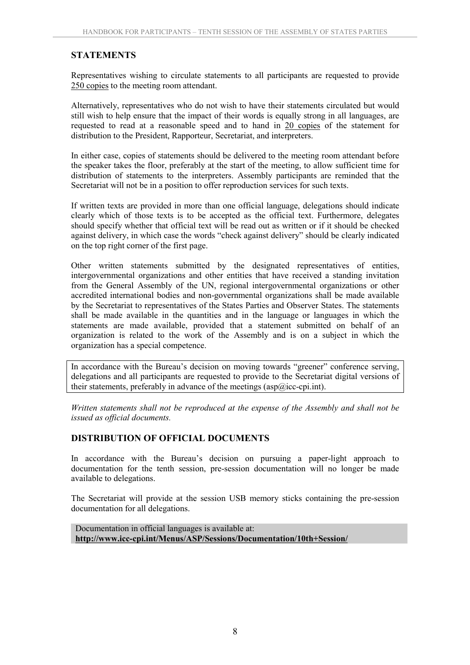## **STATEMENTS**

Representatives wishing to circulate statements to all participants are requested to provide 250 copies to the meeting room attendant.

Alternatively, representatives who do not wish to have their statements circulated but would still wish to help ensure that the impact of their words is equally strong in all languages, are requested to read at a reasonable speed and to hand in 20 copies of the statement for distribution to the President, Rapporteur, Secretariat, and interpreters.

In either case, copies of statements should be delivered to the meeting room attendant before the speaker takes the floor, preferably at the start of the meeting, to allow sufficient time for distribution of statements to the interpreters. Assembly participants are reminded that the Secretariat will not be in a position to offer reproduction services for such texts.

If written texts are provided in more than one official language, delegations should indicate clearly which of those texts is to be accepted as the official text. Furthermore, delegates should specify whether that official text will be read out as written or if it should be checked against delivery, in which case the words "check against delivery" should be clearly indicated on the top right corner of the first page.

Other written statements submitted by the designated representatives of entities, intergovernmental organizations and other entities that have received a standing invitation from the General Assembly of the UN, regional intergovernmental organizations or other accredited international bodies and non-governmental organizations shall be made available by the Secretariat to representatives of the States Parties and Observer States. The statements shall be made available in the quantities and in the language or languages in which the statements are made available, provided that a statement submitted on behalf of an organization is related to the work of the Assembly and is on a subject in which the organization has a special competence.

In accordance with the Bureau's decision on moving towards "greener" conference serving, delegations and all participants are requested to provide to the Secretariat digital versions of their statements, preferably in advance of the meetings (asp $@$ icc-cpi.int).

*Written statements shall not be reproduced at the expense of the Assembly and shall not be issued as official documents.* 

#### **DISTRIBUTION OF OFFICIAL DOCUMENTS**

In accordance with the Bureau's decision on pursuing a paper-light approach to documentation for the tenth session, pre-session documentation will no longer be made available to delegations.

The Secretariat will provide at the session USB memory sticks containing the pre-session documentation for all delegations.

Documentation in official languages is available at: **<http://www.icc-cpi.int/Menus/ASP/Sessions/Documentation/10th+Session/>**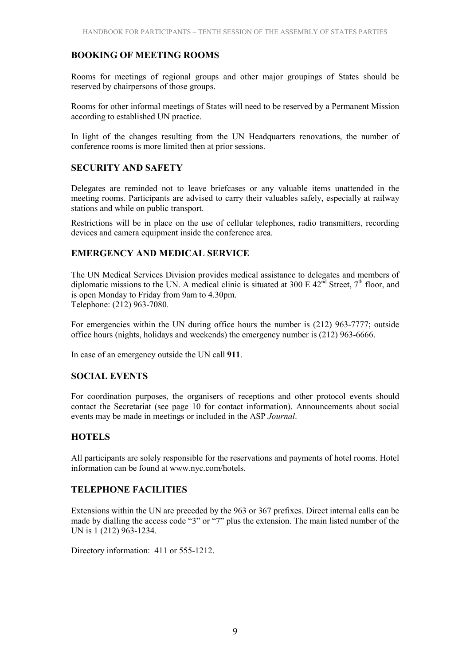#### **BOOKING OF MEETING ROOMS**

Rooms for meetings of regional groups and other major groupings of States should be reserved by chairpersons of those groups.

Rooms for other informal meetings of States will need to be reserved by a Permanent Mission according to established UN practice.

In light of the changes resulting from the UN Headquarters renovations, the number of conference rooms is more limited then at prior sessions.

#### **SECURITY AND SAFETY**

Delegates are reminded not to leave briefcases or any valuable items unattended in the meeting rooms. Participants are advised to carry their valuables safely, especially at railway stations and while on public transport.

Restrictions will be in place on the use of cellular telephones, radio transmitters, recording devices and camera equipment inside the conference area.

#### **EMERGENCY AND MEDICAL SERVICE**

The UN Medical Services Division provides medical assistance to delegates and members of diplomatic missions to the UN. A medical clinic is situated at 300 E  $42<sup>nd</sup>$  Street,  $7<sup>th</sup>$  floor, and is open Monday to Friday from 9am to 4.30pm. Telephone: (212) 963-7080.

For emergencies within the UN during office hours the number is (212) 963-7777; outside office hours (nights, holidays and weekends) the emergency number is (212) 963-6666.

In case of an emergency outside the UN call **911**.

#### **SOCIAL EVENTS**

For coordination purposes, the organisers of receptions and other protocol events should contact the Secretariat (see page 10 for contact information). Announcements about social events may be made in meetings or included in the ASP *Journal*.

#### **HOTELS**

All participants are solely responsible for the reservations and payments of hotel rooms. Hotel information can be found at www.nyc.com/hotels.

#### **TELEPHONE FACILITIES**

Extensions within the UN are preceded by the 963 or 367 prefixes. Direct internal calls can be made by dialling the access code "3" or "7" plus the extension. The main listed number of the UN is 1 (212) 963-1234.

Directory information: 411 or 555-1212.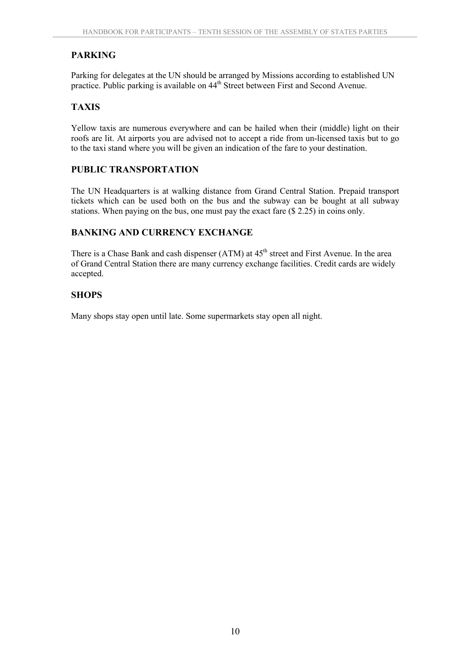# **PARKING**

Parking for delegates at the UN should be arranged by Missions according to established UN practice. Public parking is available on 44<sup>th</sup> Street between First and Second Avenue.

## **TAXIS**

Yellow taxis are numerous everywhere and can be hailed when their (middle) light on their roofs are lit. At airports you are advised not to accept a ride from un-licensed taxis but to go to the taxi stand where you will be given an indication of the fare to your destination.

## **PUBLIC TRANSPORTATION**

The UN Headquarters is at walking distance from Grand Central Station. Prepaid transport tickets which can be used both on the bus and the subway can be bought at all subway stations. When paying on the bus, one must pay the exact fare (\$ 2.25) in coins only.

## **BANKING AND CURRENCY EXCHANGE**

There is a Chase Bank and cash dispenser  $(ATM)$  at  $45<sup>th</sup>$  street and First Avenue. In the area of Grand Central Station there are many currency exchange facilities. Credit cards are widely accepted.

#### **SHOPS**

Many shops stay open until late. Some supermarkets stay open all night.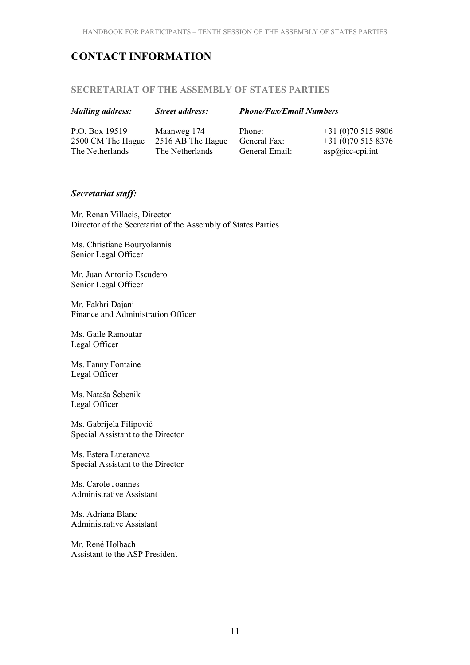# **CONTACT INFORMATION**

#### **SECRETARIAT OF THE ASSEMBLY OF STATES PARTIES**

#### *Mailing address: Street address: Phone/Fax/Email Numbers*

P.O. Box 19519 2500 CM The Hague The Netherlands

Maanweg 174 2516 AB The Hague The Netherlands

Phone: General Fax: General Email: +31 (0)70 515 9806 +31 (0)70 515 8376 asp@icc-cpi.int

#### *Secretariat staff:*

Mr. Renan Villacis, Director Director of the Secretariat of the Assembly of States Parties

Ms. Christiane Bouryolannis Senior Legal Officer

Mr. Juan Antonio Escudero Senior Legal Officer

Mr. Fakhri Dajani Finance and Administration Officer

Ms. Gaile Ramoutar Legal Officer

Ms. Fanny Fontaine Legal Officer

Ms. Nataša Šebenik Legal Officer

Ms. Gabrijela Filipović Special Assistant to the Director

Ms. Estera Luteranova Special Assistant to the Director

Ms. Carole Joannes Administrative Assistant

Ms. Adriana Blanc Administrative Assistant

Mr. René Holbach Assistant to the ASP President